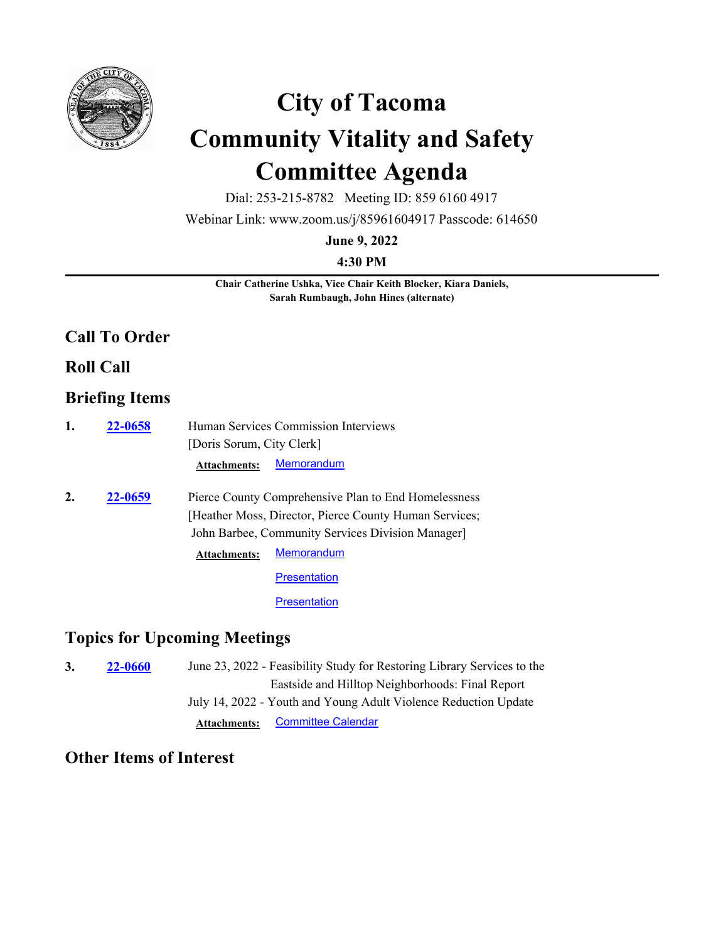

# **City of Tacoma Community Vitality and Safety Committee Agenda**

Dial: 253-215-8782 Meeting ID: 859 6160 4917

Webinar Link: www.zoom.us/j/85961604917 Passcode: 614650

**June 9, 2022**

**4:30 PM**

**Chair Catherine Ushka, Vice Chair Keith Blocker, Kiara Daniels, Sarah Rumbaugh, John Hines (alternate)**

#### **Call To Order**

**Roll Call**

### **Briefing Items**

| 1. | 22-0658 | Human Services Commission Interviews                 |                                                        |  |
|----|---------|------------------------------------------------------|--------------------------------------------------------|--|
|    |         | [Doris Sorum, City Clerk]                            |                                                        |  |
|    |         | <b>Attachments:</b>                                  | Memorandum                                             |  |
| 2. | 22-0659 | Pierce County Comprehensive Plan to End Homelessness |                                                        |  |
|    |         |                                                      | [Heather Moss, Director, Pierce County Human Services; |  |
|    |         |                                                      | John Barbee, Community Services Division Manager       |  |
|    |         | <b>Attachments:</b>                                  | <b>Memorandum</b>                                      |  |
|    |         |                                                      | <b>Presentation</b>                                    |  |
|    |         |                                                      | <b>Presentation</b>                                    |  |

## **Topics for Upcoming Meetings**

| 3. | <b>22-0660</b> | June 23, 2022 - Feasibility Study for Restoring Library Services to the |  |
|----|----------------|-------------------------------------------------------------------------|--|
|    |                | Eastside and Hilltop Neighborhoods: Final Report                        |  |
|    |                | July 14, 2022 - Youth and Young Adult Violence Reduction Update         |  |
|    |                | <b>Committee Calendar</b><br><b>Attachments:</b>                        |  |

## **Other Items of Interest**